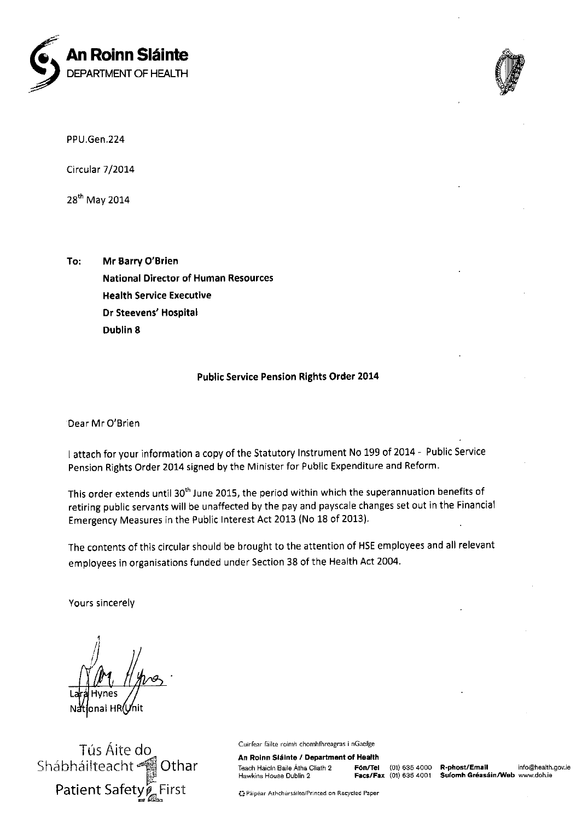



PPU.Gen.224

Circular 7/2014

28<sup>th</sup> May 2014

To: Mr Barry O'Brien **National Director of Human Resources Health Service Executive** Dr Steevens' Hospital Dublin 8

## **Public Service Pension Rights Order 2014**

Dear Mr O'Brien

I attach for your information a copy of the Statutory Instrument No 199 of 2014 - Public Service Pension Rights Order 2014 signed by the Minister for Public Expenditure and Reform.

This order extends until 30<sup>th</sup> June 2015, the period within which the superannuation benefits of retiring public servants will be unaffected by the pay and payscale changes set out in the Financial Emergency Measures in the Public Interest Act 2013 (No 18 of 2013).

The contents of this circular should be brought to the attention of HSE employees and all relevant employees in organisations funded under Section 38 of the Health Act 2004.

Yours sincerely

Tús Áite do Shábháilteacht Othar **Patient Safety** 

Cuirfear fáilte roimh chomhfhreagras i nGaeilge

An Roinn Sláinte / Department of Health Teach Haicín Baile Átha Cliath 2 Fón/Tel Hawkins House Dublin 2

Facs/Fax (01) 635 4001

(01) 635 4000 R-phost/Email info@health.gov.ie Suíomh Gréasáin/Web www.doh.ie

23 Páipéar Athchúrsáilte/Printed on Recycled Paper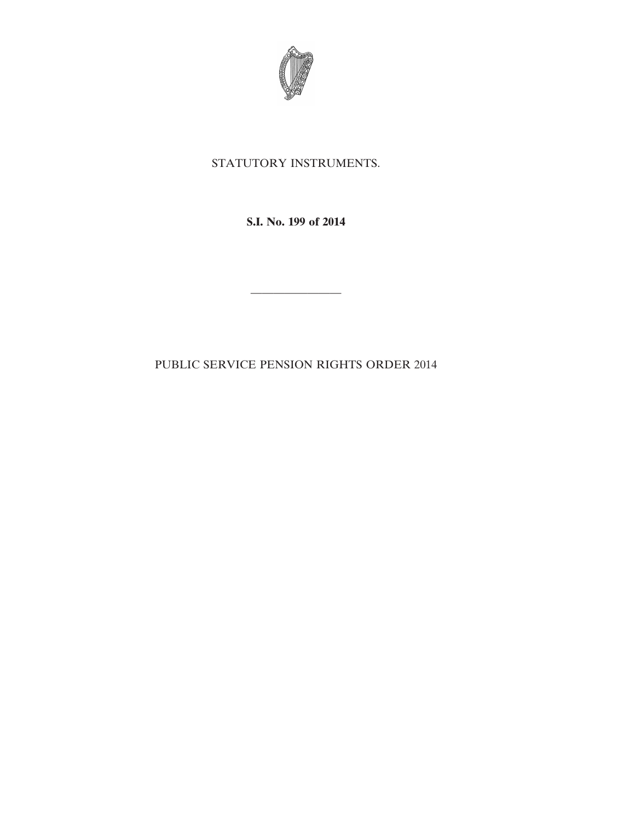

## STATUTORY INSTRUMENTS.

**S.I. No. 199 of 2014**

 $\mathcal{L}=\mathcal{L}^{\text{max}}$ 

PUBLIC SERVICE PENSION RIGHTS ORDER 2014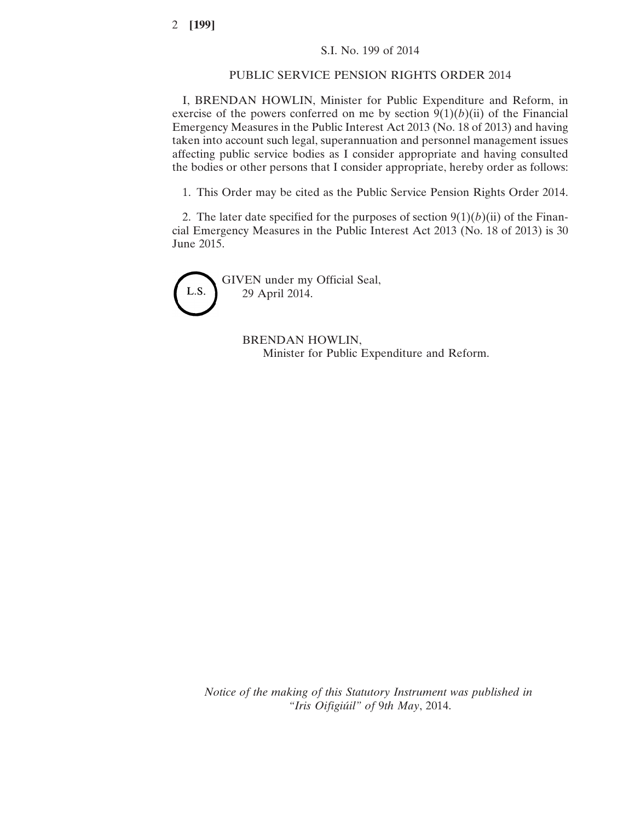## PUBLIC SERVICE PENSION RIGHTS ORDER 2014

I, BRENDAN HOWLIN, Minister for Public Expenditure and Reform, in exercise of the powers conferred on me by section  $9(1)(b)(ii)$  of the Financial Emergency Measures in the Public Interest Act 2013 (No. 18 of 2013) and having taken into account such legal, superannuation and personnel management issues affecting public service bodies as I consider appropriate and having consulted the bodies or other persons that I consider appropriate, hereby order as follows:

1. This Order may be cited as the Public Service Pension Rights Order 2014.

2. The later date specified for the purposes of section  $9(1)(b)(ii)$  of the Financial Emergency Measures in the Public Interest Act 2013 (No. 18 of 2013) is 30 June 2015.

GIVEN under my Official Seal, L.S. 29 April 2014.

BRENDAN HOWLIN, Minister for Public Expenditure and Reform.

*Notice of the making of this Statutory Instrument was published in "Iris Oifigiúil" of* 9*th May*, 2014.